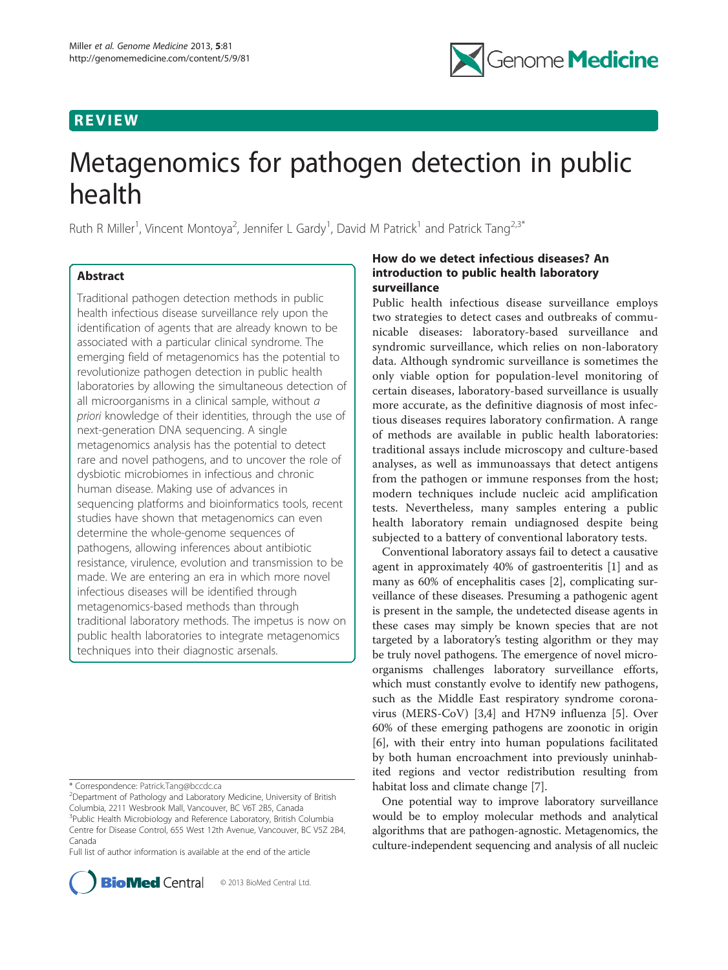# REVIEW



# Metagenomics for pathogen detection in public health

Ruth R Miller<sup>1</sup>, Vincent Montoya<sup>2</sup>, Jennifer L Gardy<sup>1</sup>, David M Patrick<sup>1</sup> and Patrick Tang<sup>2,3\*</sup>

# Abstract

Traditional pathogen detection methods in public health infectious disease surveillance rely upon the identification of agents that are already known to be associated with a particular clinical syndrome. The emerging field of metagenomics has the potential to revolutionize pathogen detection in public health laboratories by allowing the simultaneous detection of all microorganisms in a clinical sample, without a priori knowledge of their identities, through the use of next-generation DNA sequencing. A single metagenomics analysis has the potential to detect rare and novel pathogens, and to uncover the role of dysbiotic microbiomes in infectious and chronic human disease. Making use of advances in sequencing platforms and bioinformatics tools, recent studies have shown that metagenomics can even determine the whole-genome sequences of pathogens, allowing inferences about antibiotic resistance, virulence, evolution and transmission to be made. We are entering an era in which more novel infectious diseases will be identified through metagenomics-based methods than through traditional laboratory methods. The impetus is now on public health laboratories to integrate metagenomics techniques into their diagnostic arsenals.

Full list of author information is available at the end of the article



© 2013 BioMed Central Ltd.

# How do we detect infectious diseases? An introduction to public health laboratory surveillance

Public health infectious disease surveillance employs two strategies to detect cases and outbreaks of communicable diseases: laboratory-based surveillance and syndromic surveillance, which relies on non-laboratory data. Although syndromic surveillance is sometimes the only viable option for population-level monitoring of certain diseases, laboratory-based surveillance is usually more accurate, as the definitive diagnosis of most infectious diseases requires laboratory confirmation. A range of methods are available in public health laboratories: traditional assays include microscopy and culture-based analyses, as well as immunoassays that detect antigens from the pathogen or immune responses from the host; modern techniques include nucleic acid amplification tests. Nevertheless, many samples entering a public health laboratory remain undiagnosed despite being subjected to a battery of conventional laboratory tests.

Conventional laboratory assays fail to detect a causative agent in approximately 40% of gastroenteritis [\[1\]](#page-10-0) and as many as 60% of encephalitis cases [[2\]](#page-10-0), complicating surveillance of these diseases. Presuming a pathogenic agent is present in the sample, the undetected disease agents in these cases may simply be known species that are not targeted by a laboratory's testing algorithm or they may be truly novel pathogens. The emergence of novel microorganisms challenges laboratory surveillance efforts, which must constantly evolve to identify new pathogens, such as the Middle East respiratory syndrome coronavirus (MERS-CoV) [\[3,4](#page-11-0)] and H7N9 influenza [[5\]](#page-11-0). Over 60% of these emerging pathogens are zoonotic in origin [[6\]](#page-11-0), with their entry into human populations facilitated by both human encroachment into previously uninhabited regions and vector redistribution resulting from habitat loss and climate change [[7\]](#page-11-0).

One potential way to improve laboratory surveillance would be to employ molecular methods and analytical algorithms that are pathogen-agnostic. Metagenomics, the culture-independent sequencing and analysis of all nucleic

<sup>\*</sup> Correspondence: [Patrick.Tang@bccdc.ca](mailto:Patrick.Tang@bccdc.ca) <sup>2</sup>

<sup>&</sup>lt;sup>2</sup>Department of Pathology and Laboratory Medicine, University of British Columbia, 2211 Wesbrook Mall, Vancouver, BC V6T 2B5, Canada <sup>3</sup>Public Health Microbiology and Reference Laboratory, British Columbia Centre for Disease Control, 655 West 12th Avenue, Vancouver, BC V5Z 2B4, Canada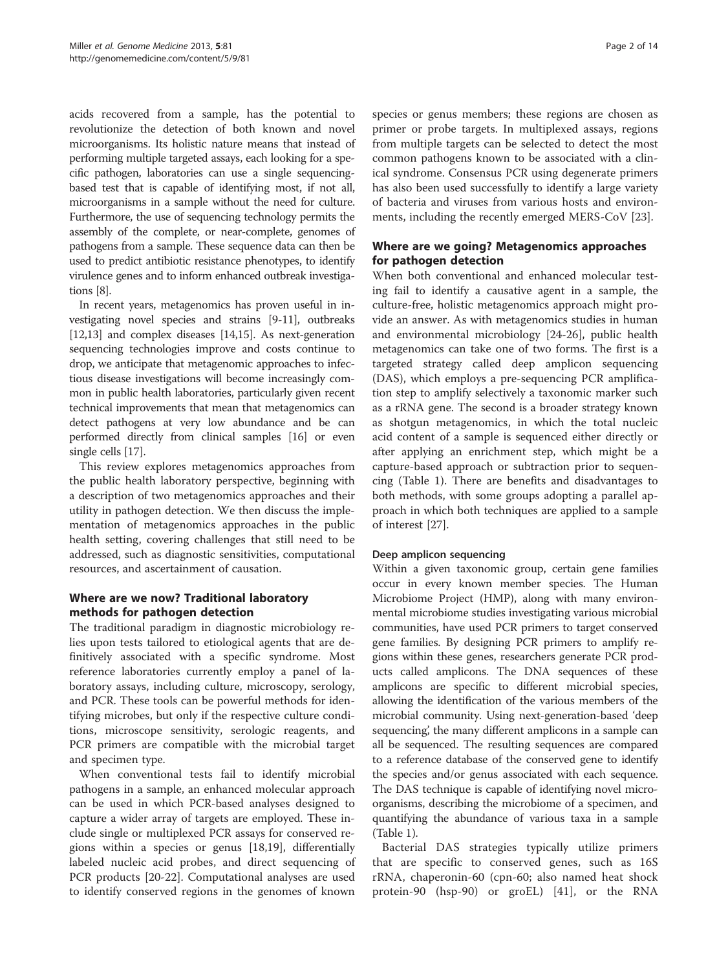acids recovered from a sample, has the potential to revolutionize the detection of both known and novel microorganisms. Its holistic nature means that instead of performing multiple targeted assays, each looking for a specific pathogen, laboratories can use a single sequencingbased test that is capable of identifying most, if not all, microorganisms in a sample without the need for culture. Furthermore, the use of sequencing technology permits the assembly of the complete, or near-complete, genomes of pathogens from a sample. These sequence data can then be used to predict antibiotic resistance phenotypes, to identify virulence genes and to inform enhanced outbreak investigations [\[8](#page-11-0)].

In recent years, metagenomics has proven useful in investigating novel species and strains [[9](#page-11-0)-[11](#page-11-0)], outbreaks [[12,13\]](#page-11-0) and complex diseases [\[14,15](#page-11-0)]. As next-generation sequencing technologies improve and costs continue to drop, we anticipate that metagenomic approaches to infectious disease investigations will become increasingly common in public health laboratories, particularly given recent technical improvements that mean that metagenomics can detect pathogens at very low abundance and be can performed directly from clinical samples [\[16](#page-11-0)] or even single cells [[17](#page-11-0)].

This review explores metagenomics approaches from the public health laboratory perspective, beginning with a description of two metagenomics approaches and their utility in pathogen detection. We then discuss the implementation of metagenomics approaches in the public health setting, covering challenges that still need to be addressed, such as diagnostic sensitivities, computational resources, and ascertainment of causation.

# Where are we now? Traditional laboratory methods for pathogen detection

The traditional paradigm in diagnostic microbiology relies upon tests tailored to etiological agents that are definitively associated with a specific syndrome. Most reference laboratories currently employ a panel of laboratory assays, including culture, microscopy, serology, and PCR. These tools can be powerful methods for identifying microbes, but only if the respective culture conditions, microscope sensitivity, serologic reagents, and PCR primers are compatible with the microbial target and specimen type.

When conventional tests fail to identify microbial pathogens in a sample, an enhanced molecular approach can be used in which PCR-based analyses designed to capture a wider array of targets are employed. These include single or multiplexed PCR assays for conserved regions within a species or genus [[18,19\]](#page-11-0), differentially labeled nucleic acid probes, and direct sequencing of PCR products [[20](#page-11-0)-[22\]](#page-11-0). Computational analyses are used to identify conserved regions in the genomes of known

species or genus members; these regions are chosen as primer or probe targets. In multiplexed assays, regions from multiple targets can be selected to detect the most common pathogens known to be associated with a clinical syndrome. Consensus PCR using degenerate primers has also been used successfully to identify a large variety of bacteria and viruses from various hosts and environments, including the recently emerged MERS-CoV [[23](#page-11-0)].

# Where are we going? Metagenomics approaches for pathogen detection

When both conventional and enhanced molecular testing fail to identify a causative agent in a sample, the culture-free, holistic metagenomics approach might provide an answer. As with metagenomics studies in human and environmental microbiology [\[24-26](#page-11-0)], public health metagenomics can take one of two forms. The first is a targeted strategy called deep amplicon sequencing (DAS), which employs a pre-sequencing PCR amplification step to amplify selectively a taxonomic marker such as a rRNA gene. The second is a broader strategy known as shotgun metagenomics, in which the total nucleic acid content of a sample is sequenced either directly or after applying an enrichment step, which might be a capture-based approach or subtraction prior to sequencing (Table [1](#page-2-0)). There are benefits and disadvantages to both methods, with some groups adopting a parallel approach in which both techniques are applied to a sample of interest [\[27](#page-11-0)].

# Deep amplicon sequencing

Within a given taxonomic group, certain gene families occur in every known member species. The Human Microbiome Project (HMP), along with many environmental microbiome studies investigating various microbial communities, have used PCR primers to target conserved gene families. By designing PCR primers to amplify regions within these genes, researchers generate PCR products called amplicons. The DNA sequences of these amplicons are specific to different microbial species, allowing the identification of the various members of the microbial community. Using next-generation-based 'deep sequencing', the many different amplicons in a sample can all be sequenced. The resulting sequences are compared to a reference database of the conserved gene to identify the species and/or genus associated with each sequence. The DAS technique is capable of identifying novel microorganisms, describing the microbiome of a specimen, and quantifying the abundance of various taxa in a sample (Table [1](#page-2-0)).

Bacterial DAS strategies typically utilize primers that are specific to conserved genes, such as 16S rRNA, chaperonin-60 (cpn-60; also named heat shock protein-90 (hsp-90) or groEL) [[41](#page-12-0)], or the RNA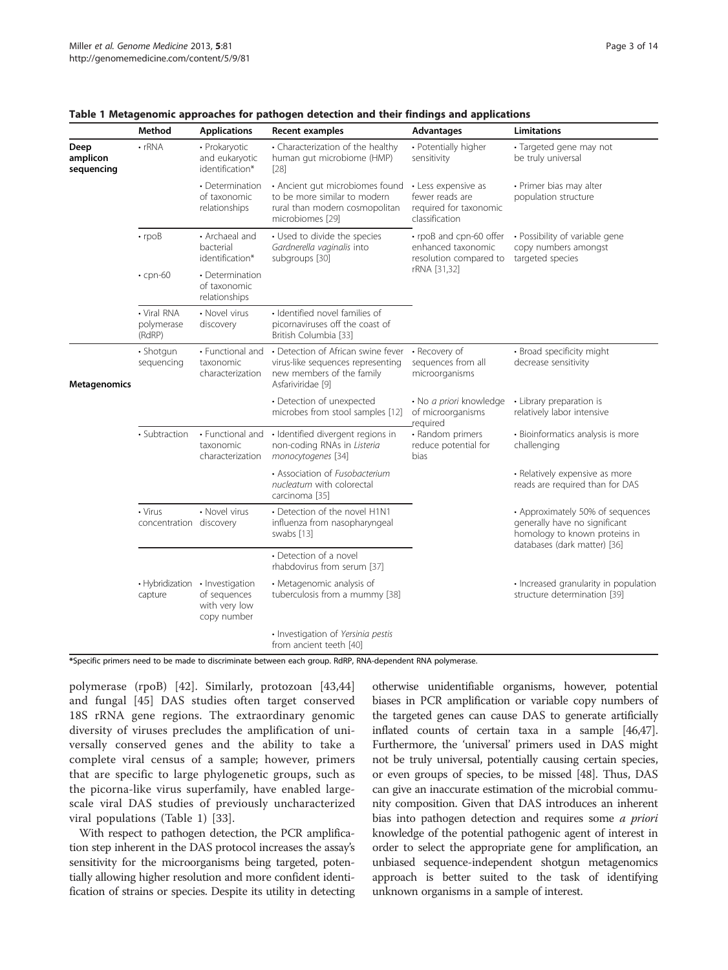|                                | Method                              | <b>Applications</b>                                             | Recent examples                                                                                                           | Advantages                                                                         | Limitations                                                                                                                        |
|--------------------------------|-------------------------------------|-----------------------------------------------------------------|---------------------------------------------------------------------------------------------------------------------------|------------------------------------------------------------------------------------|------------------------------------------------------------------------------------------------------------------------------------|
| Deep<br>amplicon<br>sequencing | $\cdot$ rRNA                        | • Prokaryotic<br>and eukaryotic<br>identification*              | • Characterization of the healthy<br>human gut microbiome (HMP)<br>[28]                                                   | • Potentially higher<br>sensitivity                                                | · Targeted gene may not<br>be truly universal                                                                                      |
|                                |                                     | • Determination<br>of taxonomic<br>relationships                | • Ancient gut microbiomes found<br>to be more similar to modern<br>rural than modern cosmopolitan<br>microbiomes [29]     | • Less expensive as<br>fewer reads are<br>required for taxonomic<br>classification | • Primer bias may alter<br>population structure                                                                                    |
|                                | $\cdot$ rpoB                        | • Archaeal and<br>bacterial<br>identification*                  | • Used to divide the species<br>Gardnerella vaginalis into<br>subgroups [30]                                              | • rpoB and cpn-60 offer<br>enhanced taxonomic<br>resolution compared to            | • Possibility of variable gene<br>copy numbers amongst<br>targeted species                                                         |
|                                | $\cdot$ cpn-60                      | • Determination<br>of taxonomic<br>relationships                |                                                                                                                           | rRNA [31,32]                                                                       |                                                                                                                                    |
|                                | • Viral RNA<br>polymerase<br>(RdRP) | • Novel virus<br>discovery                                      | · Identified novel families of<br>picornaviruses off the coast of<br>British Columbia [33]                                |                                                                                    |                                                                                                                                    |
| <b>Metagenomics</b>            | • Shotgun<br>sequencing             | • Functional and<br>taxonomic<br>characterization               | • Detection of African swine fever<br>virus-like sequences representing<br>new members of the family<br>Asfariviridae [9] | • Recovery of<br>sequences from all<br>microorganisms                              | • Broad specificity might<br>decrease sensitivity                                                                                  |
|                                |                                     |                                                                 | • Detection of unexpected<br>microbes from stool samples [12]                                                             | · No a priori knowledge<br>of microorganisms<br>required                           | • Library preparation is<br>relatively labor intensive                                                                             |
|                                | • Subtraction                       | taxonomic<br>characterization                                   | • Functional and • Identified divergent regions in<br>non-coding RNAs in Listeria<br>monocytogenes [34]                   | • Random primers<br>reduce potential for<br><b>bias</b>                            | • Bioinformatics analysis is more<br>challenging                                                                                   |
|                                |                                     |                                                                 | • Association of Fusobacterium<br>nucleatum with colorectal<br>carcinoma [35]                                             |                                                                                    | • Relatively expensive as more<br>reads are required than for DAS                                                                  |
|                                | • Virus<br>concentration discovery  | • Novel virus                                                   | • Detection of the novel H1N1<br>influenza from nasopharyngeal<br>swabs [13]                                              |                                                                                    | • Approximately 50% of sequences<br>generally have no significant<br>homology to known proteins in<br>databases (dark matter) [36] |
|                                |                                     |                                                                 | • Detection of a novel<br>rhabdovirus from serum [37]                                                                     |                                                                                    |                                                                                                                                    |
|                                | • Hybridization<br>capture          | · Investigation<br>of sequences<br>with very low<br>copy number | • Metagenomic analysis of<br>tuberculosis from a mummy [38]                                                               |                                                                                    | · Increased granularity in population<br>structure determination [39]                                                              |
|                                |                                     |                                                                 | · Investigation of Yersinia pestis<br>from ancient teeth [40]                                                             |                                                                                    |                                                                                                                                    |

# <span id="page-2-0"></span>Table 1 Metagenomic approaches for pathogen detection and their findings and applications

\*Specific primers need to be made to discriminate between each group. RdRP, RNA-dependent RNA polymerase.

polymerase (rpoB) [\[42](#page-12-0)]. Similarly, protozoan [[43,44](#page-12-0)] and fungal [[45\]](#page-12-0) DAS studies often target conserved 18S rRNA gene regions. The extraordinary genomic diversity of viruses precludes the amplification of universally conserved genes and the ability to take a complete viral census of a sample; however, primers that are specific to large phylogenetic groups, such as the picorna-like virus superfamily, have enabled largescale viral DAS studies of previously uncharacterized viral populations (Table 1) [[33\]](#page-11-0).

With respect to pathogen detection, the PCR amplification step inherent in the DAS protocol increases the assay's sensitivity for the microorganisms being targeted, potentially allowing higher resolution and more confident identification of strains or species. Despite its utility in detecting

otherwise unidentifiable organisms, however, potential biases in PCR amplification or variable copy numbers of the targeted genes can cause DAS to generate artificially inflated counts of certain taxa in a sample [\[46,47](#page-12-0)]. Furthermore, the 'universal' primers used in DAS might not be truly universal, potentially causing certain species, or even groups of species, to be missed [[48](#page-12-0)]. Thus, DAS can give an inaccurate estimation of the microbial community composition. Given that DAS introduces an inherent bias into pathogen detection and requires some a priori knowledge of the potential pathogenic agent of interest in order to select the appropriate gene for amplification, an unbiased sequence-independent shotgun metagenomics approach is better suited to the task of identifying unknown organisms in a sample of interest.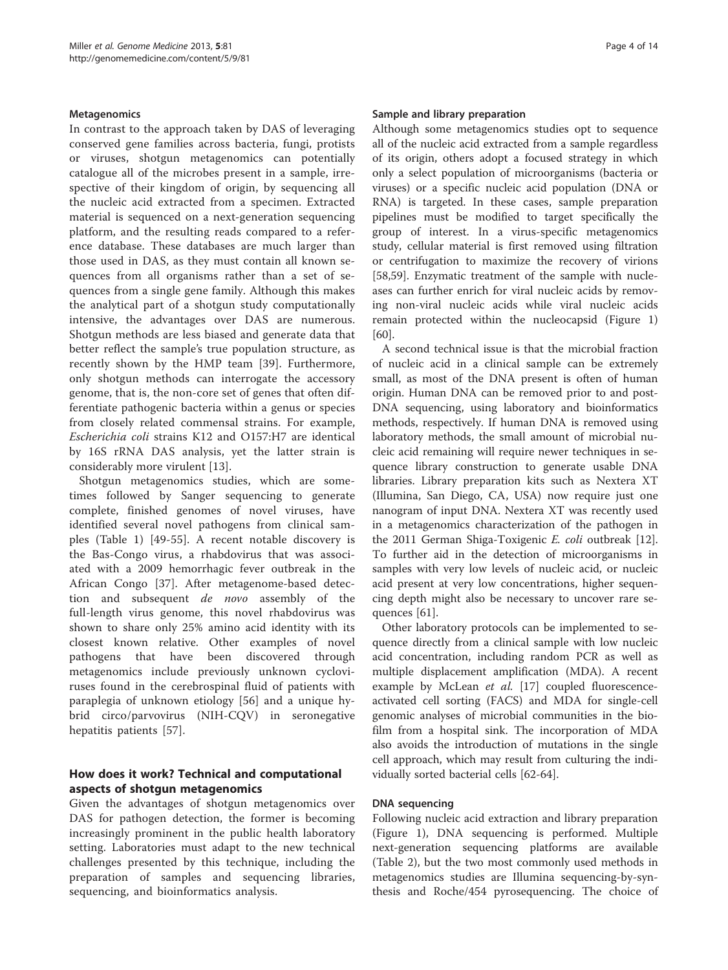## Metagenomics

In contrast to the approach taken by DAS of leveraging conserved gene families across bacteria, fungi, protists or viruses, shotgun metagenomics can potentially catalogue all of the microbes present in a sample, irrespective of their kingdom of origin, by sequencing all the nucleic acid extracted from a specimen. Extracted material is sequenced on a next-generation sequencing platform, and the resulting reads compared to a reference database. These databases are much larger than those used in DAS, as they must contain all known sequences from all organisms rather than a set of sequences from a single gene family. Although this makes the analytical part of a shotgun study computationally intensive, the advantages over DAS are numerous. Shotgun methods are less biased and generate data that better reflect the sample's true population structure, as recently shown by the HMP team [[39](#page-11-0)]. Furthermore, only shotgun methods can interrogate the accessory genome, that is, the non-core set of genes that often differentiate pathogenic bacteria within a genus or species from closely related commensal strains. For example, Escherichia coli strains K12 and O157:H7 are identical by 16S rRNA DAS analysis, yet the latter strain is considerably more virulent [\[13](#page-11-0)].

Shotgun metagenomics studies, which are sometimes followed by Sanger sequencing to generate complete, finished genomes of novel viruses, have identified several novel pathogens from clinical samples (Table [1](#page-2-0)) [[49](#page-12-0)-[55\]](#page-12-0). A recent notable discovery is the Bas-Congo virus, a rhabdovirus that was associated with a 2009 hemorrhagic fever outbreak in the African Congo [[37\]](#page-11-0). After metagenome-based detection and subsequent de novo assembly of the full-length virus genome, this novel rhabdovirus was shown to share only 25% amino acid identity with its closest known relative. Other examples of novel pathogens that have been discovered through metagenomics include previously unknown cycloviruses found in the cerebrospinal fluid of patients with paraplegia of unknown etiology [[56\]](#page-12-0) and a unique hybrid circo/parvovirus (NIH-CQV) in seronegative hepatitis patients [\[57](#page-12-0)].

# How does it work? Technical and computational aspects of shotgun metagenomics

Given the advantages of shotgun metagenomics over DAS for pathogen detection, the former is becoming increasingly prominent in the public health laboratory setting. Laboratories must adapt to the new technical challenges presented by this technique, including the preparation of samples and sequencing libraries, sequencing, and bioinformatics analysis.

#### Sample and library preparation

Although some metagenomics studies opt to sequence all of the nucleic acid extracted from a sample regardless of its origin, others adopt a focused strategy in which only a select population of microorganisms (bacteria or viruses) or a specific nucleic acid population (DNA or RNA) is targeted. In these cases, sample preparation pipelines must be modified to target specifically the group of interest. In a virus-specific metagenomics study, cellular material is first removed using filtration or centrifugation to maximize the recovery of virions [[58,59\]](#page-12-0). Enzymatic treatment of the sample with nucleases can further enrich for viral nucleic acids by removing non-viral nucleic acids while viral nucleic acids remain protected within the nucleocapsid (Figure [1](#page-5-0)) [[60\]](#page-12-0).

A second technical issue is that the microbial fraction of nucleic acid in a clinical sample can be extremely small, as most of the DNA present is often of human origin. Human DNA can be removed prior to and post-DNA sequencing, using laboratory and bioinformatics methods, respectively. If human DNA is removed using laboratory methods, the small amount of microbial nucleic acid remaining will require newer techniques in sequence library construction to generate usable DNA libraries. Library preparation kits such as Nextera XT (Illumina, San Diego, CA, USA) now require just one nanogram of input DNA. Nextera XT was recently used in a metagenomics characterization of the pathogen in the 2011 German Shiga-Toxigenic E. coli outbreak [\[12](#page-11-0)]. To further aid in the detection of microorganisms in samples with very low levels of nucleic acid, or nucleic acid present at very low concentrations, higher sequencing depth might also be necessary to uncover rare sequences [[61\]](#page-12-0).

Other laboratory protocols can be implemented to sequence directly from a clinical sample with low nucleic acid concentration, including random PCR as well as multiple displacement amplification (MDA). A recent example by McLean et al. [\[17](#page-11-0)] coupled fluorescenceactivated cell sorting (FACS) and MDA for single-cell genomic analyses of microbial communities in the biofilm from a hospital sink. The incorporation of MDA also avoids the introduction of mutations in the single cell approach, which may result from culturing the individually sorted bacterial cells [[62-64](#page-12-0)].

## DNA sequencing

Following nucleic acid extraction and library preparation (Figure [1](#page-5-0)), DNA sequencing is performed. Multiple next-generation sequencing platforms are available (Table [2](#page-6-0)), but the two most commonly used methods in metagenomics studies are Illumina sequencing-by-synthesis and Roche/454 pyrosequencing. The choice of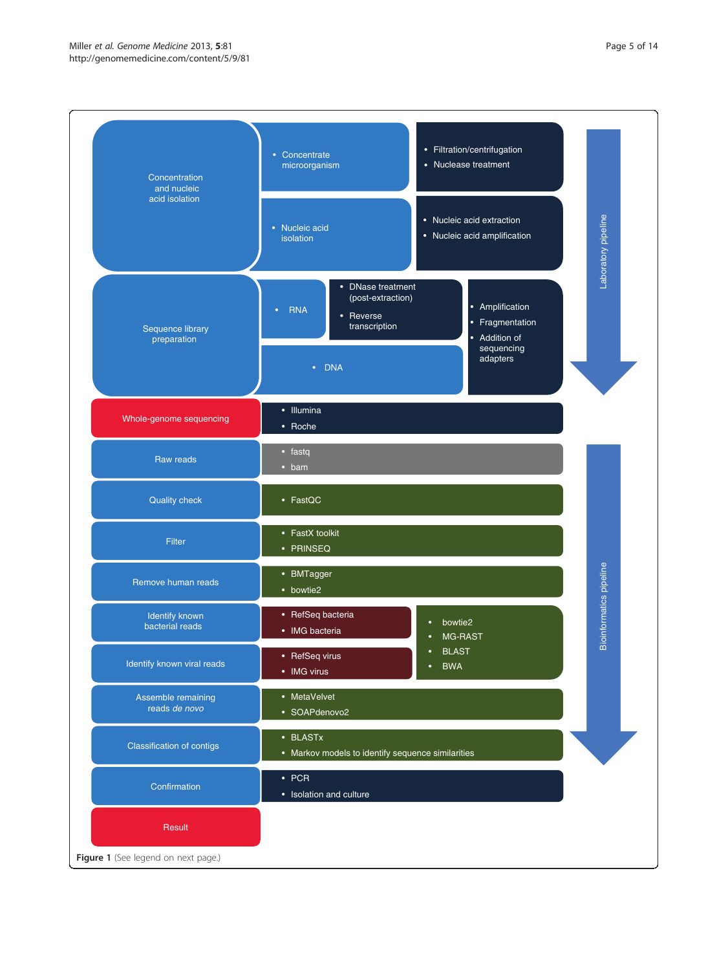**Concentration**  and nucleic acid isolation

preparation

Raw reads

Filter

Identify known bacterial reads



• MG-RAST • BLAST • BWA



Result

Figure 1 (See legend on next page.)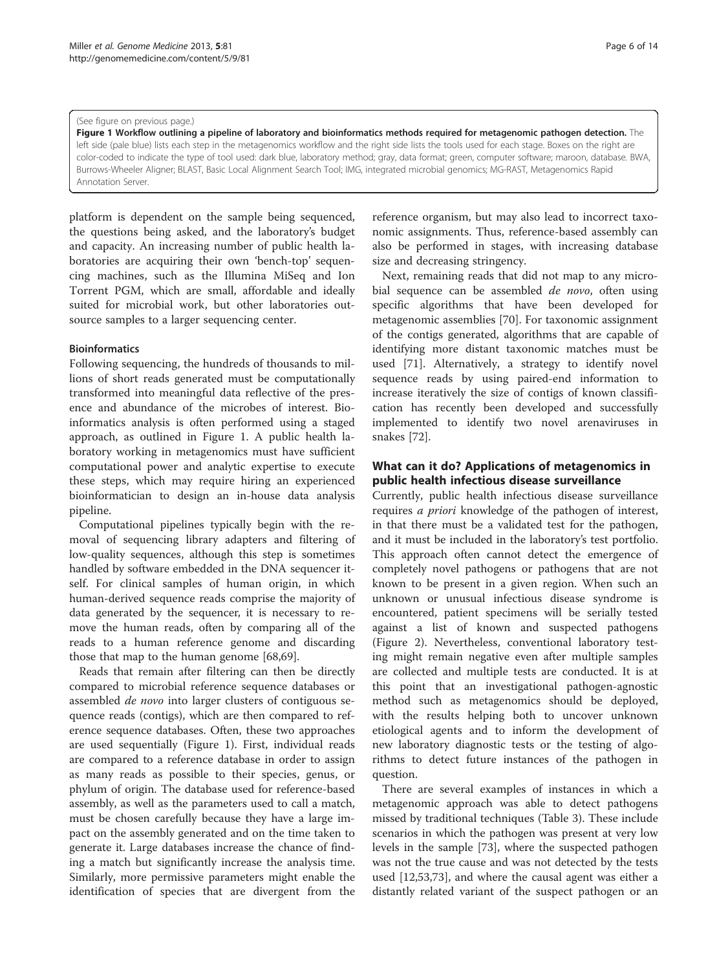#### <span id="page-5-0"></span>(See figure on previous page.)

Figure 1 Workflow outlining a pipeline of laboratory and bioinformatics methods required for metagenomic pathogen detection. The left side (pale blue) lists each step in the metagenomics workflow and the right side lists the tools used for each stage. Boxes on the right are color-coded to indicate the type of tool used: dark blue, laboratory method; gray, data format; green, computer software; maroon, database. BWA, Burrows-Wheeler Aligner; BLAST, Basic Local Alignment Search Tool; IMG, integrated microbial genomics; MG-RAST, Metagenomics Rapid Annotation Server.

platform is dependent on the sample being sequenced, the questions being asked, and the laboratory's budget and capacity. An increasing number of public health laboratories are acquiring their own 'bench-top' sequencing machines, such as the Illumina MiSeq and Ion Torrent PGM, which are small, affordable and ideally suited for microbial work, but other laboratories outsource samples to a larger sequencing center.

## **Bioinformatics**

Following sequencing, the hundreds of thousands to millions of short reads generated must be computationally transformed into meaningful data reflective of the presence and abundance of the microbes of interest. Bioinformatics analysis is often performed using a staged approach, as outlined in Figure 1. A public health laboratory working in metagenomics must have sufficient computational power and analytic expertise to execute these steps, which may require hiring an experienced bioinformatician to design an in-house data analysis pipeline.

Computational pipelines typically begin with the removal of sequencing library adapters and filtering of low-quality sequences, although this step is sometimes handled by software embedded in the DNA sequencer itself. For clinical samples of human origin, in which human-derived sequence reads comprise the majority of data generated by the sequencer, it is necessary to remove the human reads, often by comparing all of the reads to a human reference genome and discarding those that map to the human genome [\[68,69\]](#page-12-0).

Reads that remain after filtering can then be directly compared to microbial reference sequence databases or assembled de novo into larger clusters of contiguous sequence reads (contigs), which are then compared to reference sequence databases. Often, these two approaches are used sequentially (Figure 1). First, individual reads are compared to a reference database in order to assign as many reads as possible to their species, genus, or phylum of origin. The database used for reference-based assembly, as well as the parameters used to call a match, must be chosen carefully because they have a large impact on the assembly generated and on the time taken to generate it. Large databases increase the chance of finding a match but significantly increase the analysis time. Similarly, more permissive parameters might enable the identification of species that are divergent from the reference organism, but may also lead to incorrect taxonomic assignments. Thus, reference-based assembly can also be performed in stages, with increasing database size and decreasing stringency.

Next, remaining reads that did not map to any microbial sequence can be assembled de novo, often using specific algorithms that have been developed for metagenomic assemblies [[70\]](#page-12-0). For taxonomic assignment of the contigs generated, algorithms that are capable of identifying more distant taxonomic matches must be used [\[71\]](#page-12-0). Alternatively, a strategy to identify novel sequence reads by using paired-end information to increase iteratively the size of contigs of known classification has recently been developed and successfully implemented to identify two novel arenaviruses in snakes [[72](#page-12-0)].

# What can it do? Applications of metagenomics in public health infectious disease surveillance

Currently, public health infectious disease surveillance requires a priori knowledge of the pathogen of interest, in that there must be a validated test for the pathogen, and it must be included in the laboratory's test portfolio. This approach often cannot detect the emergence of completely novel pathogens or pathogens that are not known to be present in a given region. When such an unknown or unusual infectious disease syndrome is encountered, patient specimens will be serially tested against a list of known and suspected pathogens (Figure [2](#page-7-0)). Nevertheless, conventional laboratory testing might remain negative even after multiple samples are collected and multiple tests are conducted. It is at this point that an investigational pathogen-agnostic method such as metagenomics should be deployed, with the results helping both to uncover unknown etiological agents and to inform the development of new laboratory diagnostic tests or the testing of algorithms to detect future instances of the pathogen in question.

There are several examples of instances in which a metagenomic approach was able to detect pathogens missed by traditional techniques (Table [3](#page-8-0)). These include scenarios in which the pathogen was present at very low levels in the sample [[73\]](#page-12-0), where the suspected pathogen was not the true cause and was not detected by the tests used [[12,](#page-11-0)[53,73\]](#page-12-0), and where the causal agent was either a distantly related variant of the suspect pathogen or an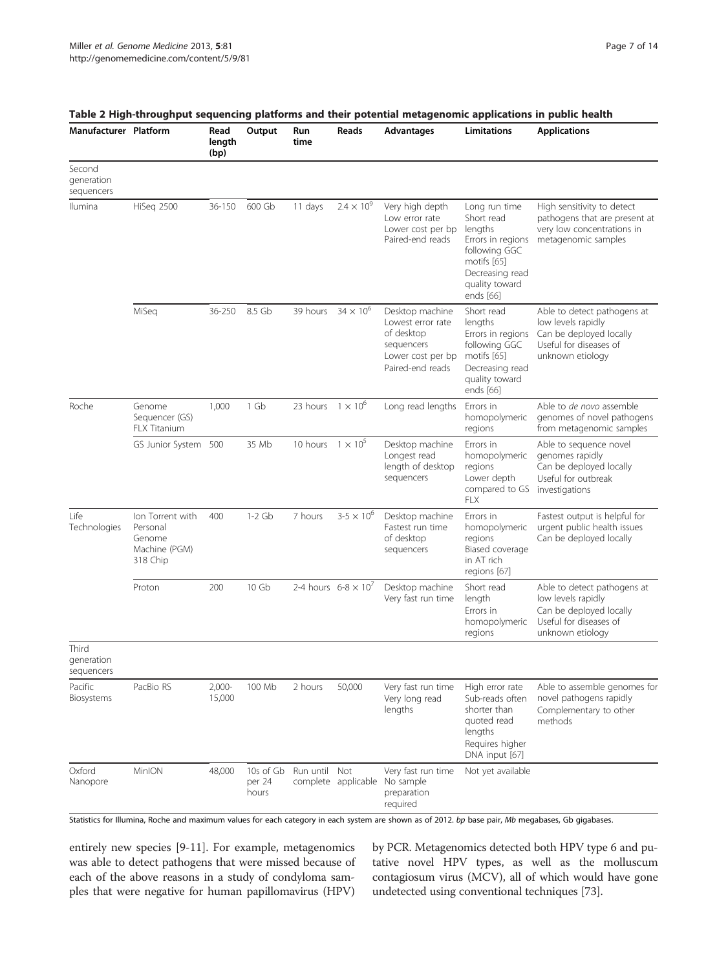| Manufacturer Platform              |                                                                     | Read<br>length<br>(bp) | - 1<br>Output                | Run<br>time              | Reads                           | Advantages                                                                                                | Limitations                                                                                                                                   | <b>Applications</b>                                                                                                        |
|------------------------------------|---------------------------------------------------------------------|------------------------|------------------------------|--------------------------|---------------------------------|-----------------------------------------------------------------------------------------------------------|-----------------------------------------------------------------------------------------------------------------------------------------------|----------------------------------------------------------------------------------------------------------------------------|
| Second<br>generation<br>sequencers |                                                                     |                        |                              |                          |                                 |                                                                                                           |                                                                                                                                               |                                                                                                                            |
| Ilumina                            | HiSeg 2500                                                          | 36-150                 | 600 Gb                       | 11 days                  | $2.4 \times 10^{9}$             | Very high depth<br>Low error rate<br>Lower cost per bp<br>Paired-end reads                                | Long run time<br>Short read<br>lengths<br>Errors in regions<br>following GGC<br>motifs [65]<br>Decreasing read<br>quality toward<br>ends [66] | High sensitivity to detect<br>pathogens that are present at<br>very low concentrations in<br>metagenomic samples           |
|                                    | MiSeg                                                               | 36-250                 | 8.5 Gb                       | 39 hours                 | $34 \times 10^{6}$              | Desktop machine<br>Lowest error rate<br>of desktop<br>sequencers<br>Lower cost per bp<br>Paired-end reads | Short read<br>lengths<br>Errors in regions<br>following GGC<br>motifs [65]<br>Decreasing read<br>quality toward<br>ends [66]                  | Able to detect pathogens at<br>low levels rapidly<br>Can be deployed locally<br>Useful for diseases of<br>unknown etiology |
| Roche                              | Genome<br>Sequencer (GS)<br><b>FLX Titanium</b>                     | 1,000                  | 1 Gb                         | 23 hours                 | $1 \times 10^6$                 | Long read lengths                                                                                         | Errors in<br>homopolymeric<br>regions                                                                                                         | Able to de novo assemble<br>genomes of novel pathogens<br>from metagenomic samples                                         |
|                                    | GS Junior System                                                    | 500                    | 35 Mb                        | 10 hours $1 \times 10^5$ |                                 | Desktop machine<br>Longest read<br>length of desktop<br>sequencers                                        | Errors in<br>homopolymeric<br>regions<br>Lower depth<br>compared to GS<br><b>FLX</b>                                                          | Able to sequence novel<br>genomes rapidly<br>Can be deployed locally<br>Useful for outbreak<br>investigations              |
| Life<br>Technologies               | Ion Torrent with<br>Personal<br>Genome<br>Machine (PGM)<br>318 Chip | 400                    | $1-2$ Gb                     | 7 hours                  | $3 - 5 \times 10^{6}$           | Desktop machine<br>Fastest run time<br>of desktop<br>sequencers                                           | Errors in<br>homopolymeric<br>regions<br>Biased coverage<br>in AT rich<br>regions [67]                                                        | Fastest output is helpful for<br>urgent public health issues<br>Can be deployed locally                                    |
|                                    | Proton                                                              | 200                    | 10 Gb                        |                          | 2-4 hours $6 - 8 \times 10^{7}$ | Desktop machine<br>Very fast run time                                                                     | Short read<br>length<br>Errors in<br>homopolymeric<br>regions                                                                                 | Able to detect pathogens at<br>low levels rapidly<br>Can be deployed locally<br>Useful for diseases of<br>unknown etiology |
| Third<br>generation<br>sequencers  |                                                                     |                        |                              |                          |                                 |                                                                                                           |                                                                                                                                               |                                                                                                                            |
| Pacific<br>Biosystems              | PacBio RS                                                           | $2,000-$<br>15,000     | 100 Mb                       | 2 hours                  | 50,000                          | Very fast run time<br>Very long read<br>lengths                                                           | High error rate<br>Sub-reads often<br>shorter than<br>quoted read<br>lengths<br>Requires higher<br>DNA input [67]                             | Able to assemble genomes for<br>novel pathogens rapidly<br>Complementary to other<br>methods                               |
| Oxford<br>Nanopore                 | MinION                                                              | 48,000                 | 10s of Gb<br>per 24<br>hours | Run until Not            | complete applicable             | Very fast run time<br>No sample<br>preparation<br>required                                                | Not yet available                                                                                                                             |                                                                                                                            |

<span id="page-6-0"></span>

| Table 2 High-throughput sequencing platforms and their potential metagenomic applications in public health |  |
|------------------------------------------------------------------------------------------------------------|--|
|------------------------------------------------------------------------------------------------------------|--|

Statistics for Illumina, Roche and maximum values for each category in each system are shown as of 2012. bp base pair, Mb megabases, Gb gigabases.

entirely new species [[9-11](#page-11-0)]. For example, metagenomics was able to detect pathogens that were missed because of each of the above reasons in a study of condyloma samples that were negative for human papillomavirus (HPV)

by PCR. Metagenomics detected both HPV type 6 and putative novel HPV types, as well as the molluscum contagiosum virus (MCV), all of which would have gone undetected using conventional techniques [[73](#page-12-0)].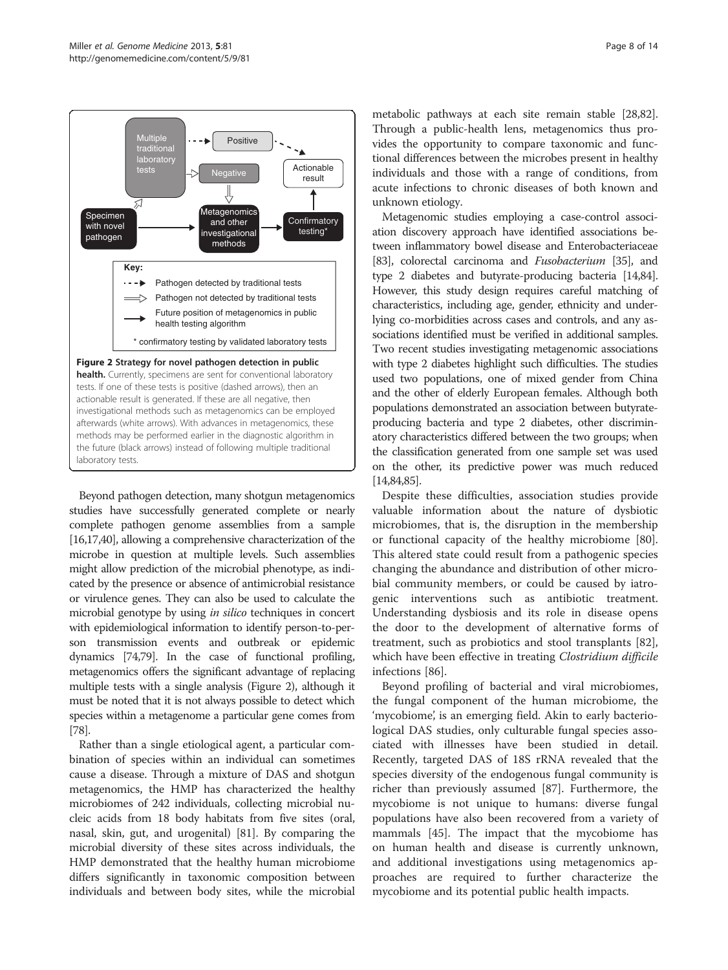<span id="page-7-0"></span>

Beyond pathogen detection, many shotgun metagenomics studies have successfully generated complete or nearly complete pathogen genome assemblies from a sample [[16,17,40\]](#page-11-0), allowing a comprehensive characterization of the microbe in question at multiple levels. Such assemblies might allow prediction of the microbial phenotype, as indicated by the presence or absence of antimicrobial resistance or virulence genes. They can also be used to calculate the microbial genotype by using in silico techniques in concert with epidemiological information to identify person-to-person transmission events and outbreak or epidemic dynamics [\[74,79](#page-12-0)]. In the case of functional profiling, metagenomics offers the significant advantage of replacing multiple tests with a single analysis (Figure 2), although it must be noted that it is not always possible to detect which species within a metagenome a particular gene comes from [[78](#page-12-0)].

Rather than a single etiological agent, a particular combination of species within an individual can sometimes cause a disease. Through a mixture of DAS and shotgun metagenomics, the HMP has characterized the healthy microbiomes of 242 individuals, collecting microbial nucleic acids from 18 body habitats from five sites (oral, nasal, skin, gut, and urogenital) [\[81](#page-12-0)]. By comparing the microbial diversity of these sites across individuals, the HMP demonstrated that the healthy human microbiome differs significantly in taxonomic composition between individuals and between body sites, while the microbial

metabolic pathways at each site remain stable [\[28,](#page-11-0)[82](#page-12-0)]. Through a public-health lens, metagenomics thus provides the opportunity to compare taxonomic and functional differences between the microbes present in healthy individuals and those with a range of conditions, from acute infections to chronic diseases of both known and unknown etiology.

Metagenomic studies employing a case-control association discovery approach have identified associations between inflammatory bowel disease and Enterobacteriaceae [[83](#page-13-0)], colorectal carcinoma and *Fusobacterium* [\[35](#page-11-0)], and type 2 diabetes and butyrate-producing bacteria [[14](#page-11-0)[,84](#page-13-0)]. However, this study design requires careful matching of characteristics, including age, gender, ethnicity and underlying co-morbidities across cases and controls, and any associations identified must be verified in additional samples. Two recent studies investigating metagenomic associations with type 2 diabetes highlight such difficulties. The studies used two populations, one of mixed gender from China and the other of elderly European females. Although both populations demonstrated an association between butyrateproducing bacteria and type 2 diabetes, other discriminatory characteristics differed between the two groups; when the classification generated from one sample set was used on the other, its predictive power was much reduced [[14](#page-11-0)[,84,85\]](#page-13-0).

Despite these difficulties, association studies provide valuable information about the nature of dysbiotic microbiomes, that is, the disruption in the membership or functional capacity of the healthy microbiome [\[80](#page-12-0)]. This altered state could result from a pathogenic species changing the abundance and distribution of other microbial community members, or could be caused by iatrogenic interventions such as antibiotic treatment. Understanding dysbiosis and its role in disease opens the door to the development of alternative forms of treatment, such as probiotics and stool transplants [\[82](#page-12-0)], which have been effective in treating *Clostridium difficile* infections [[86](#page-13-0)].

Beyond profiling of bacterial and viral microbiomes, the fungal component of the human microbiome, the 'mycobiome', is an emerging field. Akin to early bacteriological DAS studies, only culturable fungal species associated with illnesses have been studied in detail. Recently, targeted DAS of 18S rRNA revealed that the species diversity of the endogenous fungal community is richer than previously assumed [[87](#page-13-0)]. Furthermore, the mycobiome is not unique to humans: diverse fungal populations have also been recovered from a variety of mammals [[45](#page-12-0)]. The impact that the mycobiome has on human health and disease is currently unknown, and additional investigations using metagenomics approaches are required to further characterize the mycobiome and its potential public health impacts.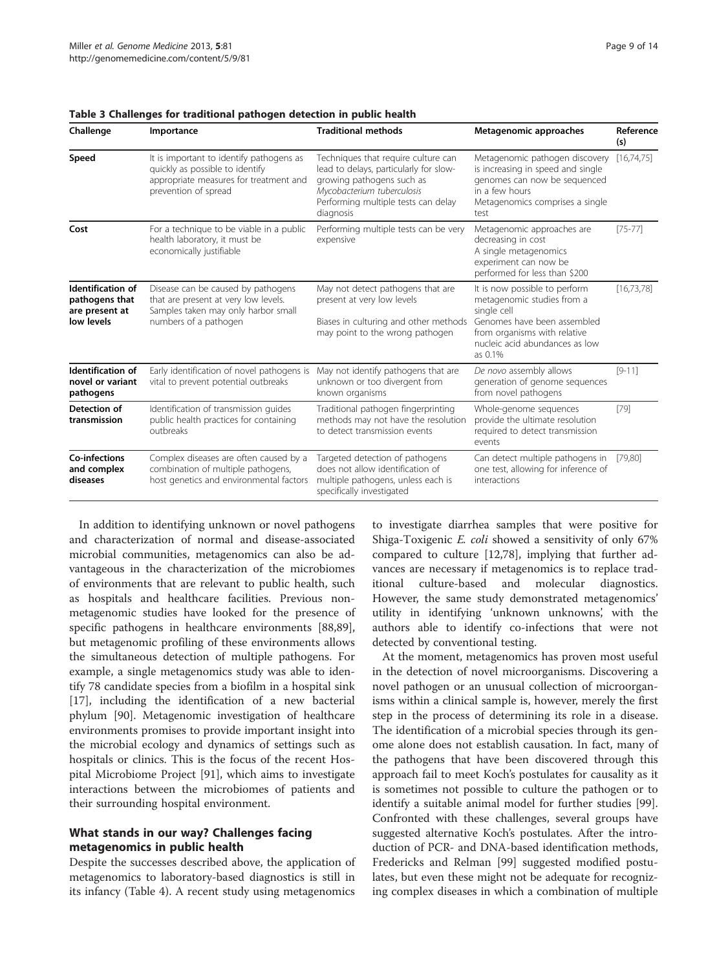| Challenge                                                                  | Importance                                                                                                                                    | <b>Traditional methods</b>                                                                                                                                                                   | Metagenomic approaches                                                                                                                                                                 | Reference<br>(s) |
|----------------------------------------------------------------------------|-----------------------------------------------------------------------------------------------------------------------------------------------|----------------------------------------------------------------------------------------------------------------------------------------------------------------------------------------------|----------------------------------------------------------------------------------------------------------------------------------------------------------------------------------------|------------------|
| Speed                                                                      | It is important to identify pathogens as<br>quickly as possible to identify<br>appropriate measures for treatment and<br>prevention of spread | Techniques that require culture can<br>lead to delays, particularly for slow-<br>growing pathogens such as<br>Mycobacterium tuberculosis<br>Performing multiple tests can delay<br>diagnosis | Metagenomic pathogen discovery<br>is increasing in speed and single<br>genomes can now be sequenced<br>in a few hours<br>Metagenomics comprises a single<br>test                       | [16, 74, 75]     |
| Cost                                                                       | For a technique to be viable in a public<br>health laboratory, it must be<br>economically justifiable                                         | Performing multiple tests can be very<br>expensive                                                                                                                                           | Metagenomic approaches are<br>decreasing in cost<br>A single metagenomics<br>experiment can now be<br>performed for less than \$200                                                    | $[75 - 77]$      |
| <b>Identification of</b><br>pathogens that<br>are present at<br>low levels | Disease can be caused by pathogens<br>that are present at very low levels.<br>Samples taken may only harbor small<br>numbers of a pathogen    | May not detect pathogens that are<br>present at very low levels<br>Biases in culturing and other methods<br>may point to the wrong pathogen                                                  | It is now possible to perform<br>metagenomic studies from a<br>single cell<br>Genomes have been assembled<br>from organisms with relative<br>nucleic acid abundances as low<br>as 0.1% | [16, 73, 78]     |
| <b>Identification of</b><br>novel or variant<br>pathogens                  | Early identification of novel pathogens is<br>vital to prevent potential outbreaks                                                            | May not identify pathogens that are<br>unknown or too divergent from<br>known organisms                                                                                                      | De novo assembly allows<br>generation of genome sequences<br>from novel pathogens                                                                                                      | $[9-11]$         |
| Detection of<br>transmission                                               | Identification of transmission quides<br>public health practices for containing<br>outbreaks                                                  | Traditional pathogen fingerprinting<br>methods may not have the resolution<br>to detect transmission events                                                                                  | Whole-genome sequences<br>provide the ultimate resolution<br>required to detect transmission<br>events                                                                                 | $[79]$           |
| <b>Co-infections</b><br>and complex<br>diseases                            | Complex diseases are often caused by a<br>combination of multiple pathogens,<br>host genetics and environmental factors                       | Targeted detection of pathogens<br>does not allow identification of<br>multiple pathogens, unless each is<br>specifically investigated                                                       | Can detect multiple pathogens in<br>one test, allowing for inference of<br>interactions                                                                                                | [79, 80]         |

<span id="page-8-0"></span>Table 3 Challenges for traditional pathogen detection in public health

In addition to identifying unknown or novel pathogens and characterization of normal and disease-associated microbial communities, metagenomics can also be advantageous in the characterization of the microbiomes of environments that are relevant to public health, such as hospitals and healthcare facilities. Previous nonmetagenomic studies have looked for the presence of specific pathogens in healthcare environments [\[88,89](#page-13-0)], but metagenomic profiling of these environments allows the simultaneous detection of multiple pathogens. For example, a single metagenomics study was able to identify 78 candidate species from a biofilm in a hospital sink [[17\]](#page-11-0), including the identification of a new bacterial phylum [\[90\]](#page-13-0). Metagenomic investigation of healthcare environments promises to provide important insight into the microbial ecology and dynamics of settings such as hospitals or clinics. This is the focus of the recent Hospital Microbiome Project [\[91\]](#page-13-0), which aims to investigate interactions between the microbiomes of patients and their surrounding hospital environment.

# What stands in our way? Challenges facing metagenomics in public health

Despite the successes described above, the application of metagenomics to laboratory-based diagnostics is still in its infancy (Table [4](#page-9-0)). A recent study using metagenomics

to investigate diarrhea samples that were positive for Shiga-Toxigenic *E. coli* showed a sensitivity of only 67% compared to culture [[12](#page-11-0),[78](#page-12-0)], implying that further advances are necessary if metagenomics is to replace traditional culture-based and molecular diagnostics. However, the same study demonstrated metagenomics' utility in identifying 'unknown unknowns', with the authors able to identify co-infections that were not detected by conventional testing.

At the moment, metagenomics has proven most useful in the detection of novel microorganisms. Discovering a novel pathogen or an unusual collection of microorganisms within a clinical sample is, however, merely the first step in the process of determining its role in a disease. The identification of a microbial species through its genome alone does not establish causation. In fact, many of the pathogens that have been discovered through this approach fail to meet Koch's postulates for causality as it is sometimes not possible to culture the pathogen or to identify a suitable animal model for further studies [\[99](#page-13-0)]. Confronted with these challenges, several groups have suggested alternative Koch's postulates. After the introduction of PCR- and DNA-based identification methods, Fredericks and Relman [[99\]](#page-13-0) suggested modified postulates, but even these might not be adequate for recognizing complex diseases in which a combination of multiple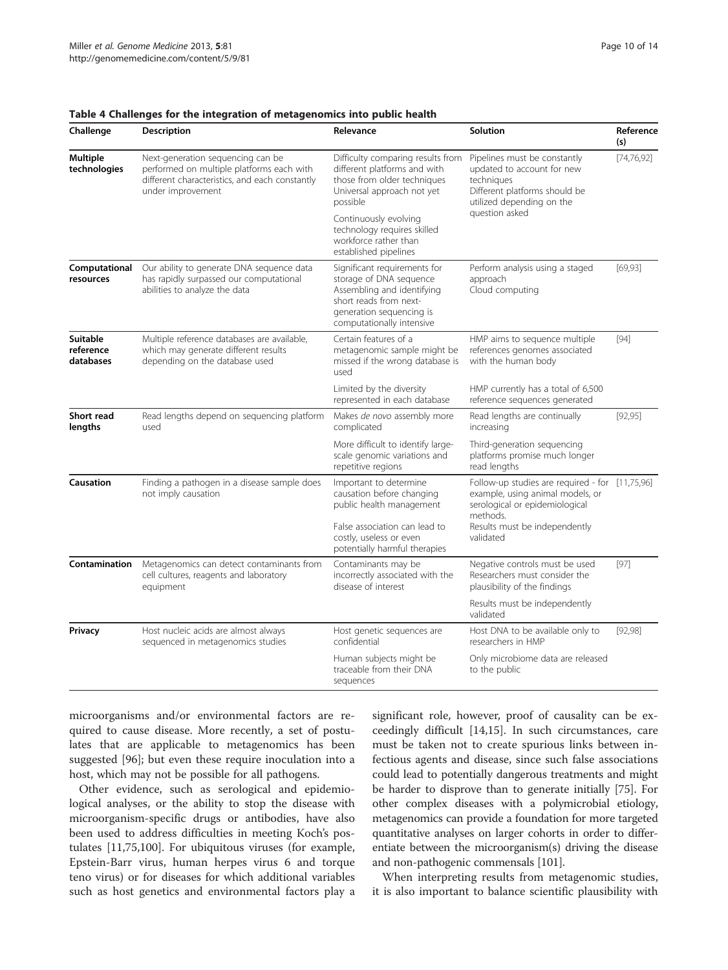| Challenge                                 | <b>Description</b>                                                                                                                                    | Relevance                                                                                                                                                                | Solution                                                                                                                               | Reference<br>(s) |
|-------------------------------------------|-------------------------------------------------------------------------------------------------------------------------------------------------------|--------------------------------------------------------------------------------------------------------------------------------------------------------------------------|----------------------------------------------------------------------------------------------------------------------------------------|------------------|
| Multiple<br>technologies                  | Next-generation sequencing can be<br>performed on multiple platforms each with<br>different characteristics, and each constantly<br>under improvement | Difficulty comparing results from<br>different platforms and with<br>those from older techniques<br>Universal approach not yet<br>possible                               | Pipelines must be constantly<br>updated to account for new<br>techniques<br>Different platforms should be<br>utilized depending on the | [74, 76, 92]     |
|                                           |                                                                                                                                                       | Continuously evolving<br>technology requires skilled<br>workforce rather than<br>established pipelines                                                                   | question asked                                                                                                                         |                  |
| Computational<br>resources                | Our ability to generate DNA sequence data<br>has rapidly surpassed our computational<br>abilities to analyze the data                                 | Significant requirements for<br>storage of DNA sequence<br>Assembling and identifying<br>short reads from next-<br>generation sequencing is<br>computationally intensive | Perform analysis using a staged<br>approach<br>Cloud computing                                                                         | [69, 93]         |
| <b>Suitable</b><br>reference<br>databases | Multiple reference databases are available,<br>which may generate different results<br>depending on the database used                                 | Certain features of a<br>metagenomic sample might be<br>missed if the wrong database is<br>used                                                                          | HMP aims to sequence multiple<br>references genomes associated<br>with the human body                                                  | [94]             |
|                                           |                                                                                                                                                       | Limited by the diversity<br>represented in each database                                                                                                                 | HMP currently has a total of 6,500<br>reference sequences generated                                                                    |                  |
| Short read<br>lengths                     | Read lengths depend on sequencing platform<br>used                                                                                                    | Makes de novo assembly more<br>complicated                                                                                                                               | Read lengths are continually<br>increasing                                                                                             | [92, 95]         |
|                                           |                                                                                                                                                       | More difficult to identify large-<br>scale genomic variations and<br>repetitive regions                                                                                  | Third-generation sequencing<br>platforms promise much longer<br>read lengths                                                           |                  |
| Causation                                 | Finding a pathogen in a disease sample does<br>not imply causation                                                                                    | Important to determine<br>causation before changing<br>public health management                                                                                          | Follow-up studies are required - for [11,75,96]<br>example, using animal models, or<br>serological or epidemiological<br>methods.      |                  |
|                                           |                                                                                                                                                       | False association can lead to<br>costly, useless or even<br>potentially harmful therapies                                                                                | Results must be independently<br>validated                                                                                             |                  |
| Contamination                             | Metagenomics can detect contaminants from<br>cell cultures, reagents and laboratory<br>equipment                                                      | Contaminants may be<br>incorrectly associated with the<br>disease of interest                                                                                            | Negative controls must be used<br>Researchers must consider the<br>plausibility of the findings                                        | $[97]$           |
|                                           |                                                                                                                                                       |                                                                                                                                                                          | Results must be independently<br>validated                                                                                             |                  |
| Privacy                                   | Host nucleic acids are almost always<br>sequenced in metagenomics studies                                                                             | Host genetic sequences are<br>confidential                                                                                                                               | Host DNA to be available only to<br>researchers in HMP                                                                                 | [92, 98]         |
|                                           |                                                                                                                                                       | Human subjects might be<br>traceable from their DNA<br>sequences                                                                                                         | Only microbiome data are released<br>to the public                                                                                     |                  |

#### <span id="page-9-0"></span>Table 4 Challenges for the integration of metagenomics into public health

microorganisms and/or environmental factors are required to cause disease. More recently, a set of postulates that are applicable to metagenomics has been suggested [[96](#page-13-0)]; but even these require inoculation into a host, which may not be possible for all pathogens.

Other evidence, such as serological and epidemiological analyses, or the ability to stop the disease with microorganism-specific drugs or antibodies, have also been used to address difficulties in meeting Koch's postulates [[11](#page-11-0),[75](#page-12-0),[100](#page-13-0)]. For ubiquitous viruses (for example, Epstein-Barr virus, human herpes virus 6 and torque teno virus) or for diseases for which additional variables such as host genetics and environmental factors play a

significant role, however, proof of causality can be exceedingly difficult [\[14,15](#page-11-0)]. In such circumstances, care must be taken not to create spurious links between infectious agents and disease, since such false associations could lead to potentially dangerous treatments and might be harder to disprove than to generate initially [\[75\]](#page-12-0). For other complex diseases with a polymicrobial etiology, metagenomics can provide a foundation for more targeted quantitative analyses on larger cohorts in order to differentiate between the microorganism(s) driving the disease and non-pathogenic commensals [[101](#page-13-0)].

When interpreting results from metagenomic studies, it is also important to balance scientific plausibility with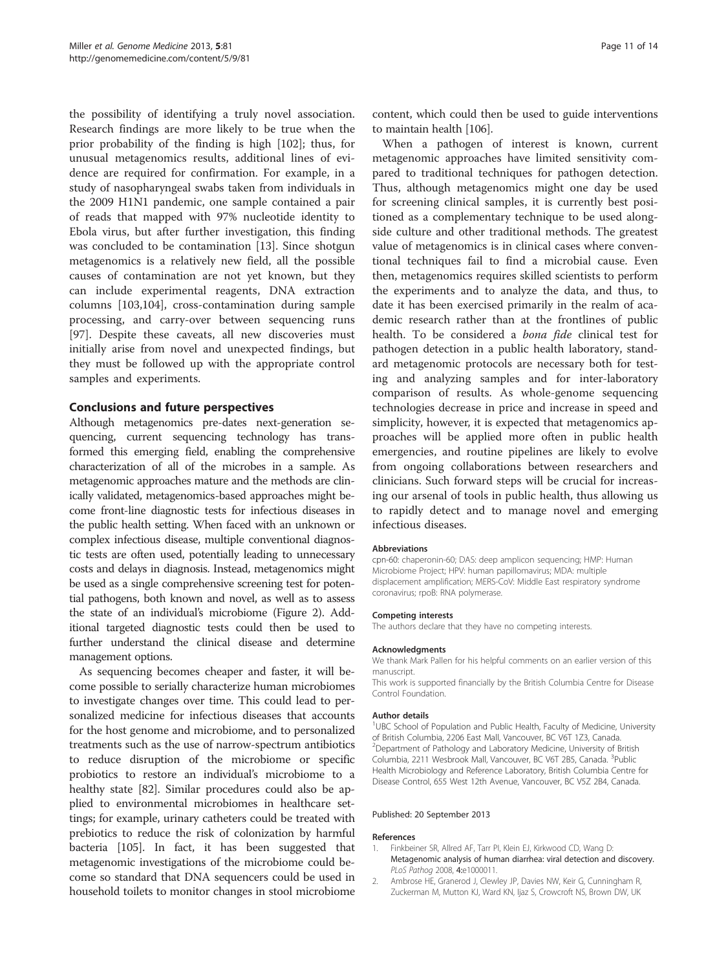<span id="page-10-0"></span>the possibility of identifying a truly novel association. Research findings are more likely to be true when the prior probability of the finding is high [[102\]](#page-13-0); thus, for unusual metagenomics results, additional lines of evidence are required for confirmation. For example, in a study of nasopharyngeal swabs taken from individuals in the 2009 H1N1 pandemic, one sample contained a pair of reads that mapped with 97% nucleotide identity to Ebola virus, but after further investigation, this finding was concluded to be contamination [\[13](#page-11-0)]. Since shotgun metagenomics is a relatively new field, all the possible causes of contamination are not yet known, but they can include experimental reagents, DNA extraction columns [[103,104](#page-13-0)], cross-contamination during sample processing, and carry-over between sequencing runs [[97\]](#page-13-0). Despite these caveats, all new discoveries must initially arise from novel and unexpected findings, but they must be followed up with the appropriate control samples and experiments.

## Conclusions and future perspectives

Although metagenomics pre-dates next-generation sequencing, current sequencing technology has transformed this emerging field, enabling the comprehensive characterization of all of the microbes in a sample. As metagenomic approaches mature and the methods are clinically validated, metagenomics-based approaches might become front-line diagnostic tests for infectious diseases in the public health setting. When faced with an unknown or complex infectious disease, multiple conventional diagnostic tests are often used, potentially leading to unnecessary costs and delays in diagnosis. Instead, metagenomics might be used as a single comprehensive screening test for potential pathogens, both known and novel, as well as to assess the state of an individual's microbiome (Figure [2](#page-7-0)). Additional targeted diagnostic tests could then be used to further understand the clinical disease and determine management options.

As sequencing becomes cheaper and faster, it will become possible to serially characterize human microbiomes to investigate changes over time. This could lead to personalized medicine for infectious diseases that accounts for the host genome and microbiome, and to personalized treatments such as the use of narrow-spectrum antibiotics to reduce disruption of the microbiome or specific probiotics to restore an individual's microbiome to a healthy state [\[82\]](#page-12-0). Similar procedures could also be applied to environmental microbiomes in healthcare settings; for example, urinary catheters could be treated with prebiotics to reduce the risk of colonization by harmful bacteria [\[105](#page-13-0)]. In fact, it has been suggested that metagenomic investigations of the microbiome could become so standard that DNA sequencers could be used in household toilets to monitor changes in stool microbiome

content, which could then be used to guide interventions to maintain health [[106](#page-13-0)].

When a pathogen of interest is known, current metagenomic approaches have limited sensitivity compared to traditional techniques for pathogen detection. Thus, although metagenomics might one day be used for screening clinical samples, it is currently best positioned as a complementary technique to be used alongside culture and other traditional methods. The greatest value of metagenomics is in clinical cases where conventional techniques fail to find a microbial cause. Even then, metagenomics requires skilled scientists to perform the experiments and to analyze the data, and thus, to date it has been exercised primarily in the realm of academic research rather than at the frontlines of public health. To be considered a bona fide clinical test for pathogen detection in a public health laboratory, standard metagenomic protocols are necessary both for testing and analyzing samples and for inter-laboratory comparison of results. As whole-genome sequencing technologies decrease in price and increase in speed and simplicity, however, it is expected that metagenomics approaches will be applied more often in public health emergencies, and routine pipelines are likely to evolve from ongoing collaborations between researchers and clinicians. Such forward steps will be crucial for increasing our arsenal of tools in public health, thus allowing us to rapidly detect and to manage novel and emerging infectious diseases.

#### Abbreviations

cpn-60: chaperonin-60; DAS: deep amplicon sequencing; HMP: Human Microbiome Project; HPV: human papillomavirus; MDA: multiple displacement amplification; MERS-CoV: Middle East respiratory syndrome coronavirus; rpoB: RNA polymerase.

#### Competing interests

The authors declare that they have no competing interests.

#### Acknowledgments

We thank Mark Pallen for his helpful comments on an earlier version of this manuscript.

This work is supported financially by the British Columbia Centre for Disease Control Foundation.

#### Author details

<sup>1</sup>UBC School of Population and Public Health, Faculty of Medicine, University of British Columbia, 2206 East Mall, Vancouver, BC V6T 1Z3, Canada. <sup>2</sup>Department of Pathology and Laboratory Medicine, University of British Columbia, 2211 Wesbrook Mall, Vancouver, BC V6T 2B5, Canada. <sup>3</sup>Public Health Microbiology and Reference Laboratory, British Columbia Centre for Disease Control, 655 West 12th Avenue, Vancouver, BC V5Z 2B4, Canada.

#### Published: 20 September 2013

#### References

- 1. Finkbeiner SR, Allred AF, Tarr PI, Klein EJ, Kirkwood CD, Wang D: Metagenomic analysis of human diarrhea: viral detection and discovery. PLoS Pathog 2008, 4:e1000011.
- 2. Ambrose HE, Granerod J, Clewley JP, Davies NW, Keir G, Cunningham R, Zuckerman M, Mutton KJ, Ward KN, Ijaz S, Crowcroft NS, Brown DW, UK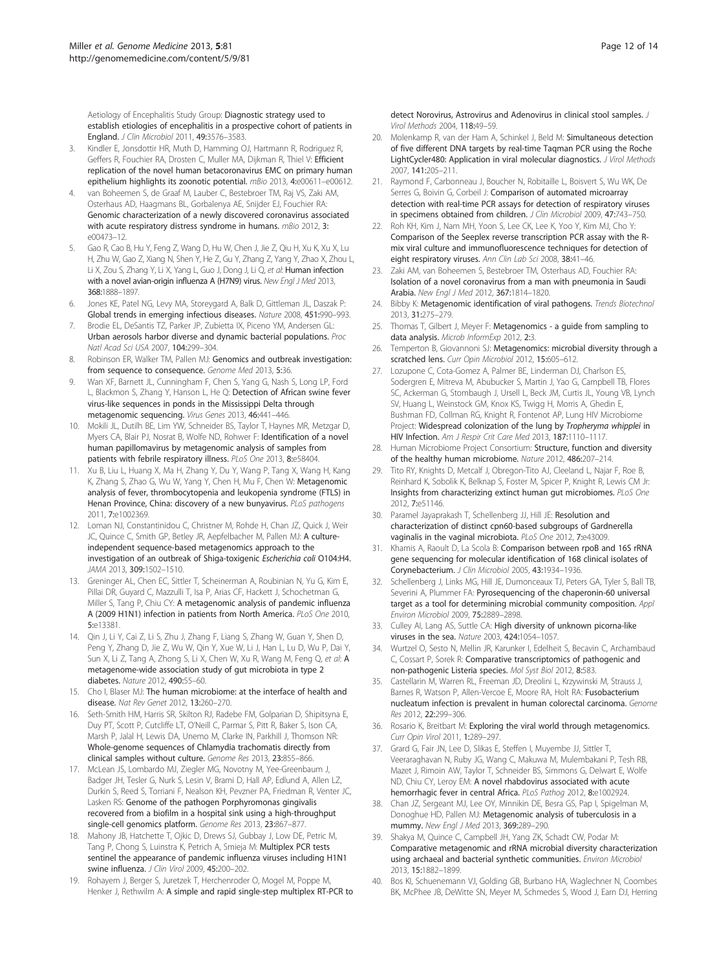<span id="page-11-0"></span>Aetiology of Encephalitis Study Group: Diagnostic strategy used to establish etiologies of encephalitis in a prospective cohort of patients in England. J Clin Microbiol 2011, 49:3576–3583.

- 3. Kindler E, Jonsdottir HR, Muth D, Hamming OJ, Hartmann R, Rodriguez R, Geffers R, Fouchier RA, Drosten C, Muller MA, Dijkman R, Thiel V: Efficient replication of the novel human betacoronavirus EMC on primary human epithelium highlights its zoonotic potential. mBio 2013, 4:e00611-e00612.
- van Boheemen S, de Graaf M, Lauber C, Bestebroer TM, Raj VS, Zaki AM, Osterhaus AD, Haagmans BL, Gorbalenya AE, Snijder EJ, Fouchier RA: Genomic characterization of a newly discovered coronavirus associated with acute respiratory distress syndrome in humans. mBio 2012, 3: e00473–12.
- 5. Gao R, Cao B, Hu Y, Feng Z, Wang D, Hu W, Chen J, Jie Z, Qiu H, Xu K, Xu X, Lu H, Zhu W, Gao Z, Xiang N, Shen Y, He Z, Gu Y, Zhang Z, Yang Y, Zhao X, Zhou L, Li X, Zou S, Zhang Y, Li X, Yang L, Guo J, Dong J, Li Q, et al: Human infection with a novel avian-origin influenza A (H7N9) virus. New Engl J Med 2013, 368:1888–1897.
- Jones KE, Patel NG, Levy MA, Storeygard A, Balk D, Gittleman JL, Daszak P: Global trends in emerging infectious diseases. Nature 2008, 451:990–993.
- 7. Brodie EL, DeSantis TZ, Parker JP, Zubietta IX, Piceno YM, Andersen GL: Urban aerosols harbor diverse and dynamic bacterial populations. Proc Natl Acad Sci USA 2007, 104:299–304.
- 8. Robinson ER, Walker TM, Pallen MJ: Genomics and outbreak investigation: from sequence to consequence. Genome Med 2013, 5:36.
- 9. Wan XF, Barnett JL, Cunningham F, Chen S, Yang G, Nash S, Long LP, Ford L, Blackmon S, Zhang Y, Hanson L, He Q: Detection of African swine fever virus-like sequences in ponds in the Mississippi Delta through metagenomic sequencing. Virus Genes 2013, 46:441–446.
- 10. Mokili JL, Dutilh BE, Lim YW, Schneider BS, Taylor T, Haynes MR, Metzgar D, Myers CA, Blair PJ, Nosrat B, Wolfe ND, Rohwer F: Identification of a novel human papillomavirus by metagenomic analysis of samples from patients with febrile respiratory illness. PLoS One 2013, 8:e58404.
- 11. Xu B, Liu L, Huang X, Ma H, Zhang Y, Du Y, Wang P, Tang X, Wang H, Kang K, Zhang S, Zhao G, Wu W, Yang Y, Chen H, Mu F, Chen W: Metagenomic analysis of fever, thrombocytopenia and leukopenia syndrome (FTLS) in Henan Province, China: discovery of a new bunyavirus. PLoS pathogens 2011, 7:e1002369.
- 12. Loman NJ, Constantinidou C, Christner M, Rohde H, Chan JZ, Quick J, Weir JC, Quince C, Smith GP, Betley JR, Aepfelbacher M, Pallen MJ: A cultureindependent sequence-based metagenomics approach to the investigation of an outbreak of Shiga-toxigenic Escherichia coli O104:H4. JAMA 2013, 309:1502–1510.
- 13. Greninger AL, Chen EC, Sittler T, Scheinerman A, Roubinian N, Yu G, Kim E, Pillai DR, Guyard C, Mazzulli T, Isa P, Arias CF, Hackett J, Schochetman G, Miller S, Tang P, Chiu CY: A metagenomic analysis of pandemic influenza A (2009 H1N1) infection in patients from North America. PLoS One 2010, 5:e13381.
- 14. Qin J, Li Y, Cai Z, Li S, Zhu J, Zhang F, Liang S, Zhang W, Guan Y, Shen D, Peng Y, Zhang D, Jie Z, Wu W, Qin Y, Xue W, Li J, Han L, Lu D, Wu P, Dai Y, Sun X, Li Z, Tang A, Zhong S, Li X, Chen W, Xu R, Wang M, Feng Q, et al: A metagenome-wide association study of gut microbiota in type 2 diabetes. Nature 2012, 490:55–60.
- 15. Cho I, Blaser MJ: The human microbiome: at the interface of health and disease. Nat Rev Genet 2012, 13:260–270.
- 16. Seth-Smith HM, Harris SR, Skilton RJ, Radebe FM, Golparian D, Shipitsyna E, Duy PT, Scott P, Cutcliffe LT, O'Neill C, Parmar S, Pitt R, Baker S, Ison CA, Marsh P, Jalal H, Lewis DA, Unemo M, Clarke IN, Parkhill J, Thomson NR: Whole-genome sequences of Chlamydia trachomatis directly from clinical samples without culture. Genome Res 2013, 23:855–866.
- 17. McLean JS, Lombardo MJ, Ziegler MG, Novotny M, Yee-Greenbaum J, Badger JH, Tesler G, Nurk S, Lesin V, Brami D, Hall AP, Edlund A, Allen LZ, Durkin S, Reed S, Torriani F, Nealson KH, Pevzner PA, Friedman R, Venter JC, Lasken RS: Genome of the pathogen Porphyromonas gingivalis recovered from a biofilm in a hospital sink using a high-throughput single-cell genomics platform. Genome Res 2013, 23:867–877.
- 18. Mahony JB, Hatchette T, Ojkic D, Drews SJ, Gubbay J, Low DE, Petric M, Tang P, Chong S, Luinstra K, Petrich A, Smieja M: Multiplex PCR tests sentinel the appearance of pandemic influenza viruses including H1N1 swine influenza. J Clin Virol 2009, 45:200-202.
- 19. Rohayem J, Berger S, Juretzek T, Herchenroder O, Mogel M, Poppe M, Henker J, Rethwilm A: A simple and rapid single-step multiplex RT-PCR to

detect Norovirus, Astrovirus and Adenovirus in clinical stool samples. J Virol Methods 2004, 118:49–59.

- 20. Molenkamp R, van der Ham A, Schinkel J, Beld M: Simultaneous detection of five different DNA targets by real-time Taqman PCR using the Roche LightCycler480: Application in viral molecular diagnostics. J Virol Methods 2007, 141:205–211.
- 21. Raymond F, Carbonneau J, Boucher N, Robitaille L, Boisvert S, Wu WK, De Serres G, Boivin G, Corbeil J: Comparison of automated microarray detection with real-time PCR assays for detection of respiratory viruses in specimens obtained from children. J Clin Microbiol 2009, 47:743-750.
- 22. Roh KH, Kim J, Nam MH, Yoon S, Lee CK, Lee K, Yoo Y, Kim MJ, Cho Y: Comparison of the Seeplex reverse transcription PCR assay with the Rmix viral culture and immunofluorescence techniques for detection of eight respiratory viruses. Ann Clin Lab Sci 2008, 38:41-46.
- 23. Zaki AM, van Boheemen S, Bestebroer TM, Osterhaus AD, Fouchier RA: Isolation of a novel coronavirus from a man with pneumonia in Saudi Arabia. New Engl J Med 2012, 367:1814–1820.
- 24. Bibby K: Metagenomic identification of viral pathogens. Trends Biotechnol 2013, 31:275–279.
- 25. Thomas T, Gilbert J, Meyer F: Metagenomics a guide from sampling to data analysis. Microb InformExp 2012, 2:3.
- 26. Temperton B, Giovannoni SJ: Metagenomics: microbial diversity through a scratched lens. Curr Opin Microbiol 2012, 15:605-612.
- 27. Lozupone C, Cota-Gomez A, Palmer BE, Linderman DJ, Charlson ES, Sodergren E, Mitreva M, Abubucker S, Martin J, Yao G, Campbell TB, Flores SC, Ackerman G, Stombaugh J, Ursell L, Beck JM, Curtis JL, Young VB, Lynch SV, Huang L, Weinstock GM, Knox KS, Twigg H, Morris A, Ghedin E, Bushman FD, Collman RG, Knight R, Fontenot AP, Lung HIV Microbiome Project: Widespread colonization of the lung by Tropheryma whipplei in HIV Infection. Am J Respir Crit Care Med 2013, 187:1110-1117.
- 28. Human Microbiome Project Consortium: Structure, function and diversity of the healthy human microbiome. Nature 2012, 486:207–214.
- 29. Tito RY, Knights D, Metcalf J, Obregon-Tito AJ, Cleeland L, Najar F, Roe B, Reinhard K, Sobolik K, Belknap S, Foster M, Spicer P, Knight R, Lewis CM Jr: Insights from characterizing extinct human gut microbiomes. PLoS One 2012, 7:e51146.
- 30. Paramel Jayaprakash T, Schellenberg JJ, Hill JE: Resolution and characterization of distinct cpn60-based subgroups of Gardnerella vaginalis in the vaginal microbiota. PLoS One 2012, 7:e43009
- 31. Khamis A, Raoult D, La Scola B: Comparison between rpoB and 16S rRNA gene sequencing for molecular identification of 168 clinical isolates of Corynebacterium. J Clin Microbiol 2005, 43:1934–1936.
- 32. Schellenberg J, Links MG, Hill JE, Dumonceaux TJ, Peters GA, Tyler S, Ball TB, Severini A, Plummer FA: Pyrosequencing of the chaperonin-60 universal target as a tool for determining microbial community composition. Appl Environ Microbiol 2009, 75:2889–2898.
- 33. Culley AI, Lang AS, Suttle CA: High diversity of unknown picorna-like viruses in the sea. Nature 2003, 424:1054–1057.
- 34. Wurtzel O, Sesto N, Mellin JR, Karunker I, Edelheit S, Becavin C, Archambaud C, Cossart P, Sorek R: Comparative transcriptomics of pathogenic and non-pathogenic Listeria species. Mol Syst Biol 2012, 8:583.
- 35. Castellarin M, Warren RL, Freeman JD, Dreolini L, Krzywinski M, Strauss J, Barnes R, Watson P, Allen-Vercoe E, Moore RA, Holt RA: Fusobacterium nucleatum infection is prevalent in human colorectal carcinoma. Genome Res 2012, 22:299–306.
- 36. Rosario K, Breitbart M: Exploring the viral world through metagenomics. Curr Opin Virol 2011, 1:289–297.
- 37. Grard G, Fair JN, Lee D, Slikas E, Steffen I, Muyembe JJ, Sittler T, Veeraraghavan N, Ruby JG, Wang C, Makuwa M, Mulembakani P, Tesh RB, Mazet J, Rimoin AW, Taylor T, Schneider BS, Simmons G, Delwart E, Wolfe ND, Chiu CY, Leroy EM: A novel rhabdovirus associated with acute hemorrhagic fever in central Africa. PLoS Pathog 2012, 8:e1002924.
- 38. Chan JZ, Sergeant MJ, Lee OY, Minnikin DE, Besra GS, Pap I, Spigelman M, Donoghue HD, Pallen MJ: Metagenomic analysis of tuberculosis in a mummy. New Engl J Med 2013, 369:289-290.
- Shakya M, Quince C, Campbell JH, Yang ZK, Schadt CW, Podar M: Comparative metagenomic and rRNA microbial diversity characterization using archaeal and bacterial synthetic communities. Environ Microbiol 2013, 15:1882–1899.
- 40. Bos KI, Schuenemann VJ, Golding GB, Burbano HA, Waglechner N, Coombes BK, McPhee JB, DeWitte SN, Meyer M, Schmedes S, Wood J, Earn DJ, Herring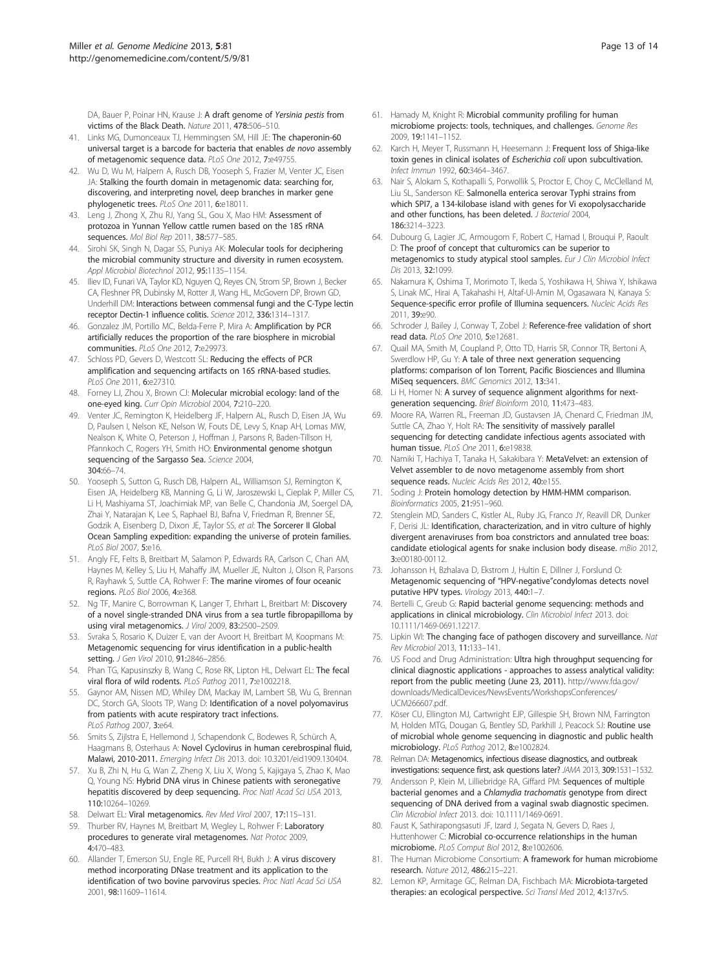<span id="page-12-0"></span>DA, Bauer P, Poinar HN, Krause J: A draft genome of Yersinia pestis from victims of the Black Death. Nature 2011, 478:506–510.

- 41. Links MG, Dumonceaux TJ, Hemmingsen SM, Hill JE: The chaperonin-60 universal target is a barcode for bacteria that enables de novo assembly of metagenomic sequence data. PLoS One 2012, 7:e49755.
- 42. Wu D, Wu M, Halpern A, Rusch DB, Yooseph S, Frazier M, Venter JC, Eisen JA: Stalking the fourth domain in metagenomic data: searching for, discovering, and interpreting novel, deep branches in marker gene phylogenetic trees. PLoS One 2011, 6:e18011.
- 43. Leng J, Zhong X, Zhu RJ, Yang SL, Gou X, Mao HM: Assessment of protozoa in Yunnan Yellow cattle rumen based on the 18S rRNA sequences. Mol Biol Rep 2011, 38:577-585.
- 44. Sirohi SK, Singh N, Dagar SS, Puniya AK: Molecular tools for deciphering the microbial community structure and diversity in rumen ecosystem. Appl Microbiol Biotechnol 2012, 95:1135-1154.
- 45. Iliev ID, Funari VA, Taylor KD, Nguyen Q, Reyes CN, Strom SP, Brown J, Becker CA, Fleshner PR, Dubinsky M, Rotter JI, Wang HL, McGovern DP, Brown GD, Underhill DM: Interactions between commensal fungi and the C-Type lectin receptor Dectin-1 influence colitis. Science 2012, 336:1314–1317.
- 46. Gonzalez JM, Portillo MC, Belda-Ferre P, Mira A: Amplification by PCR artificially reduces the proportion of the rare biosphere in microbial communities. PLoS One 2012, 7:e29973.
- 47. Schloss PD, Gevers D, Westcott SL: Reducing the effects of PCR amplification and sequencing artifacts on 16S rRNA-based studies. PLoS One 2011, 6:e27310.
- 48. Forney LJ, Zhou X, Brown CJ: Molecular microbial ecology: land of the one-eyed king. Curr Opin Microbiol 2004, 7:210–220.
- 49. Venter JC, Remington K, Heidelberg JF, Halpern AL, Rusch D, Eisen JA, Wu D, Paulsen I, Nelson KE, Nelson W, Fouts DE, Levy S, Knap AH, Lomas MW, Nealson K, White O, Peterson J, Hoffman J, Parsons R, Baden-Tillson H, Pfannkoch C, Rogers YH, Smith HO: Environmental genome shotgun sequencing of the Sargasso Sea. Science 2004, 304:66–74.
- 50. Yooseph S, Sutton G, Rusch DB, Halpern AL, Williamson SJ, Remington K, Eisen JA, Heidelberg KB, Manning G, Li W, Jaroszewski L, Cieplak P, Miller CS, Li H, Mashiyama ST, Joachimiak MP, van Belle C, Chandonia JM, Soergel DA, Zhai Y, Natarajan K, Lee S, Raphael BJ, Bafna V, Friedman R, Brenner SE, Godzik A, Eisenberg D, Dixon JE, Taylor SS, et al: The Sorcerer II Global Ocean Sampling expedition: expanding the universe of protein families. PLoS Biol 2007, 5:e16.
- 51. Angly FE, Felts B, Breitbart M, Salamon P, Edwards RA, Carlson C, Chan AM, Haynes M, Kelley S, Liu H, Mahaffy JM, Mueller JE, Nulton J, Olson R, Parsons R, Rayhawk S, Suttle CA, Rohwer F: The marine viromes of four oceanic regions. PLoS Biol 2006, 4:e368.
- 52. Ng TF, Manire C, Borrowman K, Langer T, Ehrhart L, Breitbart M: Discovery of a novel single-stranded DNA virus from a sea turtle fibropapilloma by using viral metagenomics. J Virol 2009, 83:2500–2509.
- 53. Svraka S, Rosario K, Duizer E, van der Avoort H, Breitbart M, Koopmans M: Metagenomic sequencing for virus identification in a public-health setting. J Gen Virol 2010, 91:2846-2856.
- 54. Phan TG, Kapusinszky B, Wang C, Rose RK, Lipton HL, Delwart EL: The fecal viral flora of wild rodents. PLoS Pathog 2011, 7:e1002218.
- 55. Gaynor AM, Nissen MD, Whiley DM, Mackay IM, Lambert SB, Wu G, Brennan DC, Storch GA, Sloots TP, Wang D: Identification of a novel polyomavirus from patients with acute respiratory tract infections. PLoS Pathog 2007, 3:e64.
- 56. Smits S, Zijlstra E, Hellemond J, Schapendonk C, Bodewes R, Schürch A, Haagmans B, Osterhaus A: Novel Cyclovirus in human cerebrospinal fluid, Malawi, 2010-2011. Emerging Infect Dis 2013. doi: 10.3201/eid1909.130404.
- 57. Xu B, Zhi N, Hu G, Wan Z, Zheng X, Liu X, Wong S, Kajigaya S, Zhao K, Mao Q, Young NS: Hybrid DNA virus in Chinese patients with seronegative hepatitis discovered by deep sequencing. Proc Natl Acad Sci USA 2013, 110:10264–10269.
- 58. Delwart EL: Viral metagenomics. Rev Med Virol 2007, 17:115–131.
- 59. Thurber RV, Haynes M, Breitbart M, Wegley L, Rohwer F: Laboratory procedures to generate viral metagenomes. Nat Protoc 2009, 4:470–483.
- 60. Allander T, Emerson SU, Engle RE, Purcell RH, Bukh J: A virus discovery method incorporating DNase treatment and its application to the identification of two bovine parvovirus species. Proc Natl Acad Sci USA 2001, 98:11609–11614.
- 61. Hamady M, Knight R: Microbial community profiling for human microbiome projects: tools, techniques, and challenges. Genome Res 2009, 19:1141–1152.
- 62. Karch H, Meyer T, Russmann H, Heesemann J: Frequent loss of Shiga-like toxin genes in clinical isolates of Escherichia coli upon subcultivation. Infect Immun 1992, 60:3464–3467.
- 63. Nair S, Alokam S, Kothapalli S, Porwollik S, Proctor E, Choy C, McClelland M, Liu SL, Sanderson KE: Salmonella enterica serovar Typhi strains from which SPI7, a 134-kilobase island with genes for Vi exopolysaccharide and other functions, has been deleted. J Bacteriol 2004, 186:3214–3223.
- 64. Dubourg G, Lagier JC, Armougom F, Robert C, Hamad I, Brouqui P, Raoult D: The proof of concept that culturomics can be superior to metagenomics to study atypical stool samples. Eur J Clin Microbiol Infect Dis 2013, 32:1099.
- 65. Nakamura K, Oshima T, Morimoto T, Ikeda S, Yoshikawa H, Shiwa Y, Ishikawa S, Linak MC, Hirai A, Takahashi H, Altaf-Ul-Amin M, Ogasawara N, Kanaya S: Sequence-specific error profile of Illumina sequencers. Nucleic Acids Res 2011, 39:e90.
- 66. Schroder J, Bailey J, Conway T, Zobel J: Reference-free validation of short read data. PLoS One 2010, 5:e12681.
- 67. Quail MA, Smith M, Coupland P, Otto TD, Harris SR, Connor TR, Bertoni A, Swerdlow HP, Gu Y: A tale of three next generation sequencing platforms: comparison of Ion Torrent, Pacific Biosciences and Illumina MiSeq sequencers. BMC Genomics 2012, 13:341.
- 68. Li H, Homer N: A survey of sequence alignment algorithms for nextgeneration sequencing. Brief Bioinform 2010, 11:473–483.
- 69. Moore RA, Warren RL, Freeman JD, Gustavsen JA, Chenard C, Friedman JM, Suttle CA, Zhao Y, Holt RA: The sensitivity of massively parallel sequencing for detecting candidate infectious agents associated with human tissue. PLoS One 2011, 6:e19838.
- 70. Namiki T, Hachiya T, Tanaka H, Sakakibara Y: MetaVelvet: an extension of Velvet assembler to de novo metagenome assembly from short sequence reads. Nucleic Acids Res 2012, 40:e155.
- 71. Soding J: Protein homology detection by HMM-HMM comparison. Bioinformatics 2005, 21:951–960.
- 72. Stenglein MD, Sanders C, Kistler AL, Ruby JG, Franco JY, Reavill DR, Dunker F, Derisi JL: Identification, characterization, and in vitro culture of highly divergent arenaviruses from boa constrictors and annulated tree boas: candidate etiological agents for snake inclusion body disease. mBio 2012, 3:e00180-00112.
- 73. Johansson H, Bzhalava D, Ekstrom J, Hultin E, Dillner J, Forslund O: Metagenomic sequencing of "HPV-negative"condylomas detects novel putative HPV types. Virology 2013, 440:1-7.
- 74. Bertelli C, Greub G: Rapid bacterial genome sequencing: methods and applications in clinical microbiology. Clin Microbiol Infect 2013. doi: 10.1111/1469-0691.12217.
- 75. Lipkin WI: The changing face of pathogen discovery and surveillance. Nat Rev Microbiol 2013, 11:133–141.
- 76. US Food and Drug Administration: Ultra high throughput sequencing for clinical diagnostic applications - approaches to assess analytical validity: report from the public meeting (June 23, 2011). [http://www.fda.gov/](http://www.fda.gov/downloads/MedicalDevices/NewsEvents/WorkshopsConferences/UCM266607.pdf) [downloads/MedicalDevices/NewsEvents/WorkshopsConferences/](http://www.fda.gov/downloads/MedicalDevices/NewsEvents/WorkshopsConferences/UCM266607.pdf) [UCM266607.pdf.](http://www.fda.gov/downloads/MedicalDevices/NewsEvents/WorkshopsConferences/UCM266607.pdf)
- 77. Köser CU, Ellington MJ, Cartwright EJP, Gillespie SH, Brown NM, Farrington M, Holden MTG, Dougan G, Bentley SD, Parkhill J, Peacock SJ: Routine use of microbial whole genome sequencing in diagnostic and public health microbiology. PLoS Pathog 2012, 8:e1002824.
- 78. Relman DA: Metagenomics, infectious disease diagnostics, and outbreak investigations: sequence first, ask questions later? JAMA 2013, 309:1531–1532.
- 79. Andersson P, Klein M, Lilliebridge RA, Giffard PM: Sequences of multiple bacterial genomes and a Chlamydia trachomatis genotype from direct sequencing of DNA derived from a vaginal swab diagnostic specimen. Clin Microbiol Infect 2013. doi: 10.1111/1469-0691.
- 80. Faust K, Sathirapongsasuti JF, Izard J, Segata N, Gevers D, Raes J, Huttenhower C: Microbial co-occurrence relationships in the human microbiome. PLoS Comput Biol 2012, 8:e1002606.
- The Human Microbiome Consortium: A framework for human microbiome research. Nature 2012, 486:215–221.
- 82. Lemon KP, Armitage GC, Relman DA, Fischbach MA: Microbiota-targeted therapies: an ecological perspective. Sci Transl Med 2012, 4:137rv5.